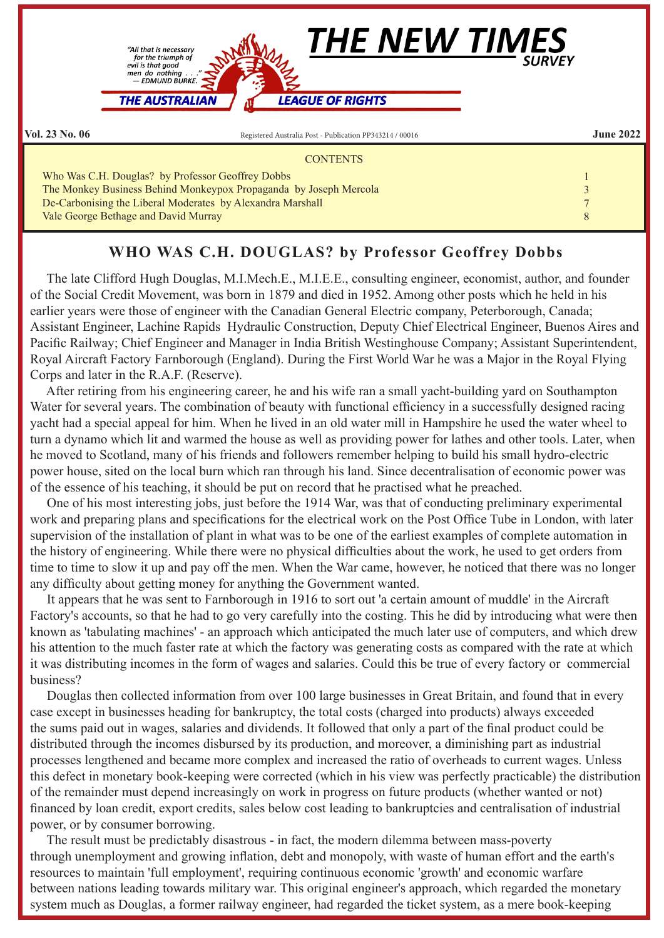

## **WHO WAS C.H. DOUGLAS? by Professor Geoffrey Dobbs**

 The late Clifford Hugh Douglas, M.I.Mech.E., M.I.E.E., consulting engineer, economist, author, and founder of the Social Credit Movement, was born in 1879 and died in 1952. Among other posts which he held in his earlier years were those of engineer with the Canadian General Electric company, Peterborough, Canada; Assistant Engineer, Lachine Rapids Hydraulic Construction, Deputy Chief Electrical Engineer, Buenos Aires and Pacific Railway; Chief Engineer and Manager in India British Westinghouse Company; Assistant Superintendent, Royal Aircraft Factory Farnborough (England). During the First World War he was a Major in the Royal Flying Corps and later in the R.A.F. (Reserve).

 After retiring from his engineering career, he and his wife ran a small yacht-building yard on Southampton Water for several years. The combination of beauty with functional efficiency in a successfully designed racing yacht had a special appeal for him. When he lived in an old water mill in Hampshire he used the water wheel to turn a dynamo which lit and warmed the house as well as providing power for lathes and other tools. Later, when he moved to Scotland, many of his friends and followers remember helping to build his small hydro-electric power house, sited on the local burn which ran through his land. Since decentralisation of economic power was of the essence of his teaching, it should be put on record that he practised what he preached.

 One of his most interesting jobs, just before the 1914 War, was that of conducting preliminary experimental work and preparing plans and specifications for the electrical work on the Post Office Tube in London, with later supervision of the installation of plant in what was to be one of the earliest examples of complete automation in the history of engineering. While there were no physical difficulties about the work, he used to get orders from time to time to slow it up and pay off the men. When the War came, however, he noticed that there was no longer any difficulty about getting money for anything the Government wanted.

 It appears that he was sent to Farnborough in 1916 to sort out 'a certain amount of muddle' in the Aircraft Factory's accounts, so that he had to go very carefully into the costing. This he did by introducing what were then known as 'tabulating machines' - an approach which anticipated the much later use of computers, and which drew his attention to the much faster rate at which the factory was generating costs as compared with the rate at which it was distributing incomes in the form of wages and salaries. Could this be true of every factory or commercial business?

 Douglas then collected information from over 100 large businesses in Great Britain, and found that in every case except in businesses heading for bankruptcy, the total costs (charged into products) always exceeded the sums paid out in wages, salaries and dividends. It followed that only a part of the final product could be distributed through the incomes disbursed by its production, and moreover, a diminishing part as industrial processes lengthened and became more complex and increased the ratio of overheads to current wages. Unless this defect in monetary book-keeping were corrected (which in his view was perfectly practicable) the distribution of the remainder must depend increasingly on work in progress on future products (whether wanted or not) financed by loan credit, export credits, sales below cost leading to bankruptcies and centralisation of industrial power, or by consumer borrowing.

 The result must be predictably disastrous - in fact, the modern dilemma between mass-poverty through unemployment and growing inflation, debt and monopoly, with waste of human effort and the earth's resources to maintain 'full employment', requiring continuous economic 'growth' and economic warfare between nations leading towards military war. This original engineer's approach, which regarded the monetary system much as Douglas, a former railway engineer, had regarded the ticket system, as a mere book-keeping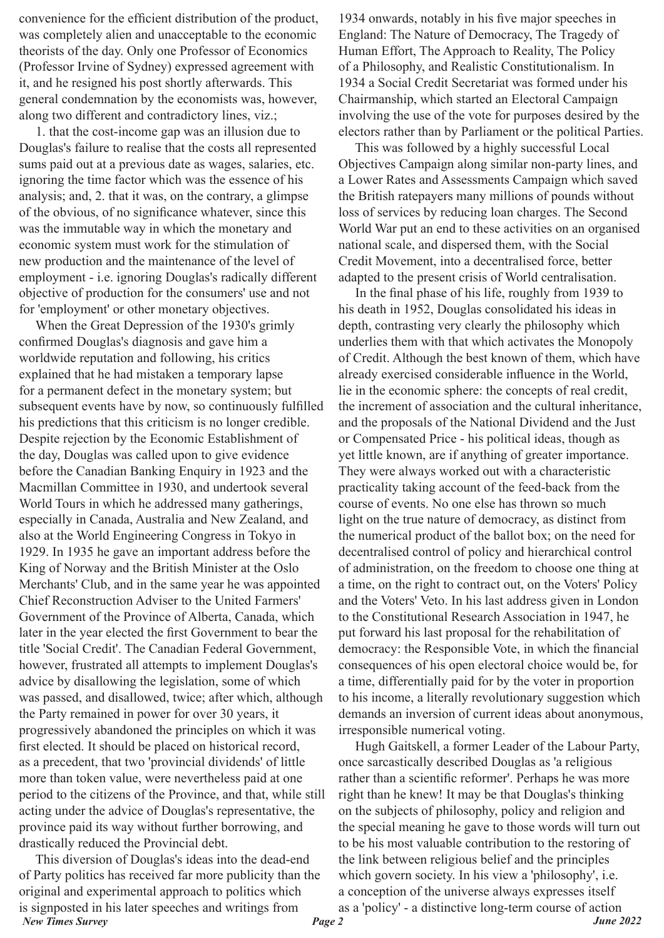convenience for the efficient distribution of the product, was completely alien and unacceptable to the economic theorists of the day. Only one Professor of Economics (Professor Irvine of Sydney) expressed agreement with it, and he resigned his post shortly afterwards. This general condemnation by the economists was, however, along two different and contradictory lines, viz.;

 1. that the cost-income gap was an illusion due to Douglas's failure to realise that the costs all represented sums paid out at a previous date as wages, salaries, etc. ignoring the time factor which was the essence of his analysis; and, 2. that it was, on the contrary, a glimpse of the obvious, of no significance whatever, since this was the immutable way in which the monetary and economic system must work for the stimulation of new production and the maintenance of the level of employment - i.e. ignoring Douglas's radically different objective of production for the consumers' use and not for 'employment' or other monetary objectives.

 When the Great Depression of the 1930's grimly confirmed Douglas's diagnosis and gave him a worldwide reputation and following, his critics explained that he had mistaken a temporary lapse for a permanent defect in the monetary system; but subsequent events have by now, so continuously fulfilled his predictions that this criticism is no longer credible. Despite rejection by the Economic Establishment of the day, Douglas was called upon to give evidence before the Canadian Banking Enquiry in 1923 and the Macmillan Committee in 1930, and undertook several World Tours in which he addressed many gatherings, especially in Canada, Australia and New Zealand, and also at the World Engineering Congress in Tokyo in 1929. In 1935 he gave an important address before the King of Norway and the British Minister at the Oslo Merchants' Club, and in the same year he was appointed Chief Reconstruction Adviser to the United Farmers' Government of the Province of Alberta, Canada, which later in the year elected the first Government to bear the title 'Social Credit'. The Canadian Federal Government, however, frustrated all attempts to implement Douglas's advice by disallowing the legislation, some of which was passed, and disallowed, twice; after which, although the Party remained in power for over 30 years, it progressively abandoned the principles on which it was first elected. It should be placed on historical record, as a precedent, that two 'provincial dividends' of little more than token value, were nevertheless paid at one period to the citizens of the Province, and that, while still acting under the advice of Douglas's representative, the province paid its way without further borrowing, and drastically reduced the Provincial debt.

*New Times Survey Page 2 June 2022* This diversion of Douglas's ideas into the dead-end of Party politics has received far more publicity than the original and experimental approach to politics which is signposted in his later speeches and writings from

1934 onwards, notably in his five major speeches in England: The Nature of Democracy, The Tragedy of Human Effort, The Approach to Reality, The Policy of a Philosophy, and Realistic Constitutionalism. In 1934 a Social Credit Secretariat was formed under his Chairmanship, which started an Electoral Campaign involving the use of the vote for purposes desired by the electors rather than by Parliament or the political Parties.

 This was followed by a highly successful Local Objectives Campaign along similar non-party lines, and a Lower Rates and Assessments Campaign which saved the British ratepayers many millions of pounds without loss of services by reducing loan charges. The Second World War put an end to these activities on an organised national scale, and dispersed them, with the Social Credit Movement, into a decentralised force, better adapted to the present crisis of World centralisation.

 In the final phase of his life, roughly from 1939 to his death in 1952, Douglas consolidated his ideas in depth, contrasting very clearly the philosophy which underlies them with that which activates the Monopoly of Credit. Although the best known of them, which have already exercised considerable influence in the World, lie in the economic sphere: the concepts of real credit, the increment of association and the cultural inheritance, and the proposals of the National Dividend and the Just or Compensated Price - his political ideas, though as yet little known, are if anything of greater importance. They were always worked out with a characteristic practicality taking account of the feed-back from the course of events. No one else has thrown so much light on the true nature of democracy, as distinct from the numerical product of the ballot box; on the need for decentralised control of policy and hierarchical control of administration, on the freedom to choose one thing at a time, on the right to contract out, on the Voters' Policy and the Voters' Veto. In his last address given in London to the Constitutional Research Association in 1947, he put forward his last proposal for the rehabilitation of democracy: the Responsible Vote, in which the financial consequences of his open electoral choice would be, for a time, differentially paid for by the voter in proportion to his income, a literally revolutionary suggestion which demands an inversion of current ideas about anonymous, irresponsible numerical voting.

 Hugh Gaitskell, a former Leader of the Labour Party, once sarcastically described Douglas as 'a religious rather than a scientific reformer'. Perhaps he was more right than he knew! It may be that Douglas's thinking on the subjects of philosophy, policy and religion and the special meaning he gave to those words will turn out to be his most valuable contribution to the restoring of the link between religious belief and the principles which govern society. In his view a 'philosophy', i.e. a conception of the universe always expresses itself as a 'policy' - a distinctive long-term course of action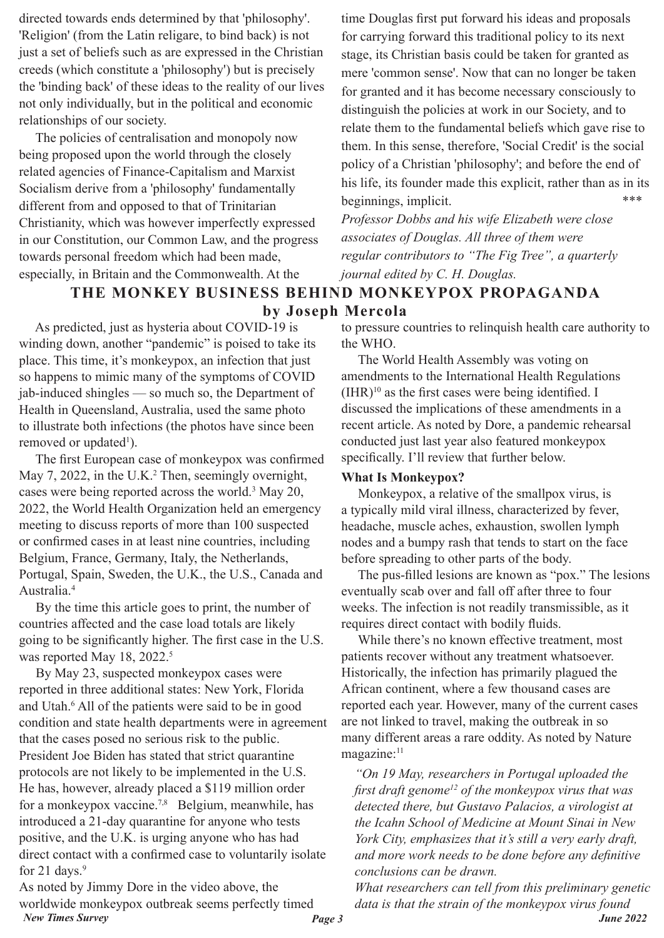directed towards ends determined by that 'philosophy'. 'Religion' (from the Latin religare, to bind back) is not just a set of beliefs such as are expressed in the Christian creeds (which constitute a 'philosophy') but is precisely the 'binding back' of these ideas to the reality of our lives not only individually, but in the political and economic relationships of our society.

 The policies of centralisation and monopoly now being proposed upon the world through the closely related agencies of Finance-Capitalism and Marxist Socialism derive from a 'philosophy' fundamentally different from and opposed to that of Trinitarian Christianity, which was however imperfectly expressed in our Constitution, our Common Law, and the progress towards personal freedom which had been made, especially, in Britain and the Commonwealth. At the

time Douglas first put forward his ideas and proposals for carrying forward this traditional policy to its next stage, its Christian basis could be taken for granted as mere 'common sense'. Now that can no longer be taken for granted and it has become necessary consciously to distinguish the policies at work in our Society, and to relate them to the fundamental beliefs which gave rise to them. In this sense, therefore, 'Social Credit' is the social policy of a Christian 'philosophy'; and before the end of his life, its founder made this explicit, rather than as in its beginnings, implicit.

*Professor Dobbs and his wife Elizabeth were close associates of Douglas. All three of them were regular contributors to "The Fig Tree", a quarterly journal edited by C. H. Douglas.*

# **THE MONKEY BUSINESS BEHIND MONKEYPOX PROPAGANDA**

**by Joseph Mercola**

 As predicted, just as hysteria about COVID-19 is winding down, another "pandemic" is poised to take its place. This time, it's monkeypox, an infection that just so happens to mimic many of the symptoms of COVID jab-induced shingles — so much so, the Department of Health in Queensland, Australia, used the same photo to illustrate both infections (the photos have since been removed or updated<sup>1</sup>).

 The first European case of monkeypox was confirmed May 7, 2022, in the U.K.<sup>2</sup> Then, seemingly overnight, cases were being reported across the world.3 May 20, 2022, the World Health Organization held an emergency meeting to discuss reports of more than 100 suspected or confirmed cases in at least nine countries, including Belgium, France, Germany, Italy, the Netherlands, Portugal, Spain, Sweden, the U.K., the U.S., Canada and Australia.4

 By the time this article goes to print, the number of countries affected and the case load totals are likely going to be significantly higher. The first case in the U.S. was reported May 18, 2022.<sup>5</sup>

 By May 23, suspected monkeypox cases were reported in three additional states: New York, Florida and Utah.6 All of the patients were said to be in good condition and state health departments were in agreement that the cases posed no serious risk to the public. President Joe Biden has stated that strict quarantine protocols are not likely to be implemented in the U.S. He has, however, already placed a \$119 million order for a monkeypox vaccine.<sup>7,8</sup> Belgium, meanwhile, has introduced a 21-day quarantine for anyone who tests positive, and the U.K. is urging anyone who has had direct contact with a confirmed case to voluntarily isolate for 21 days. $9$ 

*New Times Survey Page 3 June 2022* As noted by Jimmy Dore in the video above, the worldwide monkeypox outbreak seems perfectly timed

to pressure countries to relinquish health care authority to the WHO.

 The World Health Assembly was voting on amendments to the International Health Regulations  $(HIR)^{10}$  as the first cases were being identified. I discussed the implications of these amendments in a recent article. As noted by Dore, a pandemic rehearsal conducted just last year also featured monkeypox specifically. I'll review that further below.

## **What Is Monkeypox?**

 Monkeypox, a relative of the smallpox virus, is a typically mild viral illness, characterized by fever, headache, muscle aches, exhaustion, swollen lymph nodes and a bumpy rash that tends to start on the face before spreading to other parts of the body.

 The pus-filled lesions are known as "pox." The lesions eventually scab over and fall off after three to four weeks. The infection is not readily transmissible, as it requires direct contact with bodily fluids.

 While there's no known effective treatment, most patients recover without any treatment whatsoever. Historically, the infection has primarily plagued the African continent, where a few thousand cases are reported each year. However, many of the current cases are not linked to travel, making the outbreak in so many different areas a rare oddity. As noted by Nature magazine:<sup>11</sup>

*"On 19 May, researchers in Portugal uploaded the first draft genome<sup>12</sup> of the monkeypox virus that was detected there, but Gustavo Palacios, a virologist at the Icahn School of Medicine at Mount Sinai in New York City, emphasizes that it's still a very early draft, and more work needs to be done before any definitive conclusions can be drawn.*

*What researchers can tell from this preliminary genetic data is that the strain of the monkeypox virus found*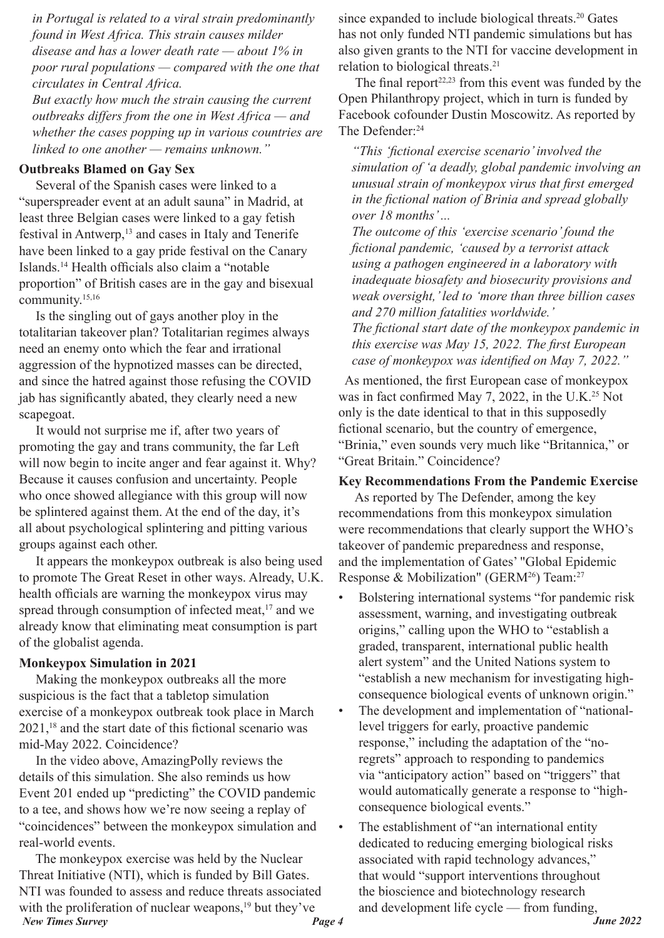*in Portugal is related to a viral strain predominantly found in West Africa. This strain causes milder disease and has a lower death rate — about 1% in poor rural populations — compared with the one that circulates in Central Africa.*

*But exactly how much the strain causing the current outbreaks differs from the one in West Africa — and whether the cases popping up in various countries are linked to one another — remains unknown."*

#### **Outbreaks Blamed on Gay Sex**

 Several of the Spanish cases were linked to a "superspreader event at an adult sauna" in Madrid, at least three Belgian cases were linked to a gay fetish festival in Antwerp,<sup>13</sup> and cases in Italy and Tenerife have been linked to a gay pride festival on the Canary Islands.14 Health officials also claim a "notable proportion" of British cases are in the gay and bisexual community.15,16

 Is the singling out of gays another ploy in the totalitarian takeover plan? Totalitarian regimes always need an enemy onto which the fear and irrational aggression of the hypnotized masses can be directed, and since the hatred against those refusing the COVID jab has significantly abated, they clearly need a new scapegoat.

 It would not surprise me if, after two years of promoting the gay and trans community, the far Left will now begin to incite anger and fear against it. Why? Because it causes confusion and uncertainty. People who once showed allegiance with this group will now be splintered against them. At the end of the day, it's all about psychological splintering and pitting various groups against each other.

 It appears the monkeypox outbreak is also being used to promote The Great Reset in other ways. Already, U.K. health officials are warning the monkeypox virus may spread through consumption of infected meat,<sup>17</sup> and we already know that eliminating meat consumption is part of the globalist agenda.

#### **Monkeypox Simulation in 2021**

 Making the monkeypox outbreaks all the more suspicious is the fact that a tabletop simulation exercise of a monkeypox outbreak took place in March  $2021$ ,<sup>18</sup> and the start date of this fictional scenario was mid-May 2022. Coincidence?

 In the video above, AmazingPolly reviews the details of this simulation. She also reminds us how Event 201 ended up "predicting" the COVID pandemic to a tee, and shows how we're now seeing a replay of "coincidences" between the monkeypox simulation and real-world events.

*New Times Survey Page 4 June 2022* The monkeypox exercise was held by the Nuclear Threat Initiative (NTI), which is funded by Bill Gates. NTI was founded to assess and reduce threats associated with the proliferation of nuclear weapons, $19$  but they've

since expanded to include biological threats.<sup>20</sup> Gates has not only funded NTI pandemic simulations but has also given grants to the NTI for vaccine development in relation to biological threats.<sup>21</sup>

The final report $22,23$  from this event was funded by the Open Philanthropy project, which in turn is funded by Facebook cofounder Dustin Moscowitz. As reported by The Defender:<sup>24</sup>

*"This 'fictional exercise scenario' involved the simulation of 'a deadly, global pandemic involving an unusual strain of monkeypox virus that first emerged in the fictional nation of Brinia and spread globally over 18 months' ...*

*The outcome of this 'exercise scenario' found the fictional pandemic, 'caused by a terrorist attack using a pathogen engineered in a laboratory with inadequate biosafety and biosecurity provisions and weak oversight,' led to 'more than three billion cases and 270 million fatalities worldwide.'*

*The fictional start date of the monkeypox pandemic in this exercise was May 15, 2022. The first European case of monkeypox was identified on May 7, 2022."*

 As mentioned, the first European case of monkeypox was in fact confirmed May 7, 2022, in the U.K.<sup>25</sup> Not only is the date identical to that in this supposedly fictional scenario, but the country of emergence, "Brinia," even sounds very much like "Britannica," or "Great Britain." Coincidence?

#### **Key Recommendations From the Pandemic Exercise**

 As reported by The Defender, among the key recommendations from this monkeypox simulation were recommendations that clearly support the WHO's takeover of pandemic preparedness and response, and the implementation of Gates' "Global Epidemic Response & Mobilization" (GERM<sup>26</sup>) Team:<sup>27</sup>

- Bolstering international systems "for pandemic risk assessment, warning, and investigating outbreak origins," calling upon the WHO to "establish a graded, transparent, international public health alert system" and the United Nations system to "establish a new mechanism for investigating highconsequence biological events of unknown origin."
- The development and implementation of "nationallevel triggers for early, proactive pandemic response," including the adaptation of the "noregrets" approach to responding to pandemics via "anticipatory action" based on "triggers" that would automatically generate a response to "highconsequence biological events."
- The establishment of "an international entity" dedicated to reducing emerging biological risks associated with rapid technology advances," that would "support interventions throughout the bioscience and biotechnology research and development life cycle — from funding,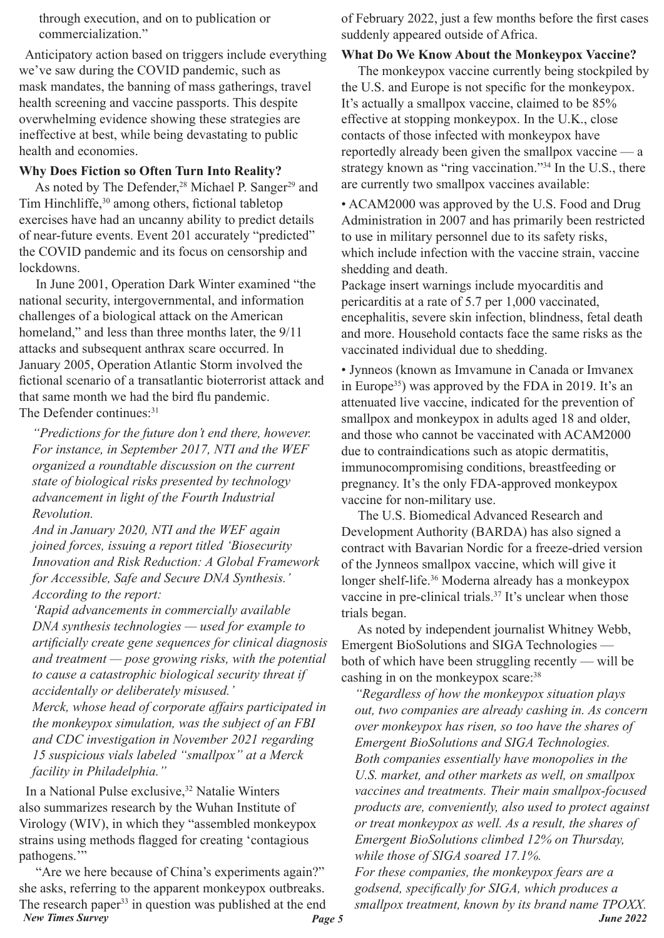through execution, and on to publication or commercialization."

 Anticipatory action based on triggers include everything we've saw during the COVID pandemic, such as mask mandates, the banning of mass gatherings, travel health screening and vaccine passports. This despite overwhelming evidence showing these strategies are ineffective at best, while being devastating to public health and economies.

## **Why Does Fiction so Often Turn Into Reality?**

As noted by The Defender,<sup>28</sup> Michael P. Sanger<sup>29</sup> and Tim Hinchliffe,30 among others, fictional tabletop exercises have had an uncanny ability to predict details of near-future events. Event 201 accurately "predicted" the COVID pandemic and its focus on censorship and lockdowns.

 In June 2001, Operation Dark Winter examined "the national security, intergovernmental, and information challenges of a biological attack on the American homeland," and less than three months later, the  $9/11$ attacks and subsequent anthrax scare occurred. In January 2005, Operation Atlantic Storm involved the fictional scenario of a transatlantic bioterrorist attack and that same month we had the bird flu pandemic. The Defender continues: 31

*"Predictions for the future don't end there, however. For instance, in September 2017, NTI and the WEF organized a roundtable discussion on the current state of biological risks presented by technology advancement in light of the Fourth Industrial Revolution.*

*And in January 2020, NTI and the WEF again joined forces, issuing a report titled 'Biosecurity Innovation and Risk Reduction: A Global Framework for Accessible, Safe and Secure DNA Synthesis.' According to the report:*

*'Rapid advancements in commercially available DNA synthesis technologies — used for example to artificially create gene sequences for clinical diagnosis and treatment — pose growing risks, with the potential to cause a catastrophic biological security threat if accidentally or deliberately misused.'*

*Merck, whose head of corporate affairs participated in the monkeypox simulation, was the subject of an FBI and CDC investigation in November 2021 regarding 15 suspicious vials labeled "smallpox" at a Merck facility in Philadelphia."*

In a National Pulse exclusive,<sup>32</sup> Natalie Winters also summarizes research by the Wuhan Institute of Virology (WIV), in which they "assembled monkeypox strains using methods flagged for creating 'contagious pathogens.'"

*New Times Survey Page 5 June 2022* "Are we here because of China's experiments again?" she asks, referring to the apparent monkeypox outbreaks. The research paper<sup>33</sup> in question was published at the end

of February 2022, just a few months before the first cases suddenly appeared outside of Africa.

## **What Do We Know About the Monkeypox Vaccine?**

 The monkeypox vaccine currently being stockpiled by the U.S. and Europe is not specific for the monkeypox. It's actually a smallpox vaccine, claimed to be 85% effective at stopping monkeypox. In the U.K., close contacts of those infected with monkeypox have reportedly already been given the smallpox vaccine — a strategy known as "ring vaccination."<sup>34</sup> In the U.S., there are currently two smallpox vaccines available:

• ACAM2000 was approved by the U.S. Food and Drug Administration in 2007 and has primarily been restricted to use in military personnel due to its safety risks, which include infection with the vaccine strain, vaccine shedding and death.

Package insert warnings include myocarditis and pericarditis at a rate of 5.7 per 1,000 vaccinated, encephalitis, severe skin infection, blindness, fetal death and more. Household contacts face the same risks as the vaccinated individual due to shedding.

• Jynneos (known as Imvamune in Canada or Imvanex in Europe35) was approved by the FDA in 2019. It's an attenuated live vaccine, indicated for the prevention of smallpox and monkeypox in adults aged 18 and older, and those who cannot be vaccinated with ACAM2000 due to contraindications such as atopic dermatitis, immunocompromising conditions, breastfeeding or pregnancy. It's the only FDA-approved monkeypox vaccine for non-military use.

 The U.S. Biomedical Advanced Research and Development Authority (BARDA) has also signed a contract with Bavarian Nordic for a freeze-dried version of the Jynneos smallpox vaccine, which will give it longer shelf-life.<sup>36</sup> Moderna already has a monkeypox vaccine in pre-clinical trials.<sup>37</sup> It's unclear when those trials began.

 As noted by independent journalist Whitney Webb, Emergent BioSolutions and SIGA Technologies both of which have been struggling recently — will be cashing in on the monkeypox scare:<sup>38</sup>

*"Regardless of how the monkeypox situation plays out, two companies are already cashing in. As concern over monkeypox has risen, so too have the shares of Emergent BioSolutions and SIGA Technologies. Both companies essentially have monopolies in the U.S. market, and other markets as well, on smallpox vaccines and treatments. Their main smallpox-focused products are, conveniently, also used to protect against or treat monkeypox as well. As a result, the shares of Emergent BioSolutions climbed 12% on Thursday, while those of SIGA soared 17.1%. For these companies, the monkeypox fears are a godsend, specifically for SIGA, which produces a smallpox treatment, known by its brand name TPOXX.*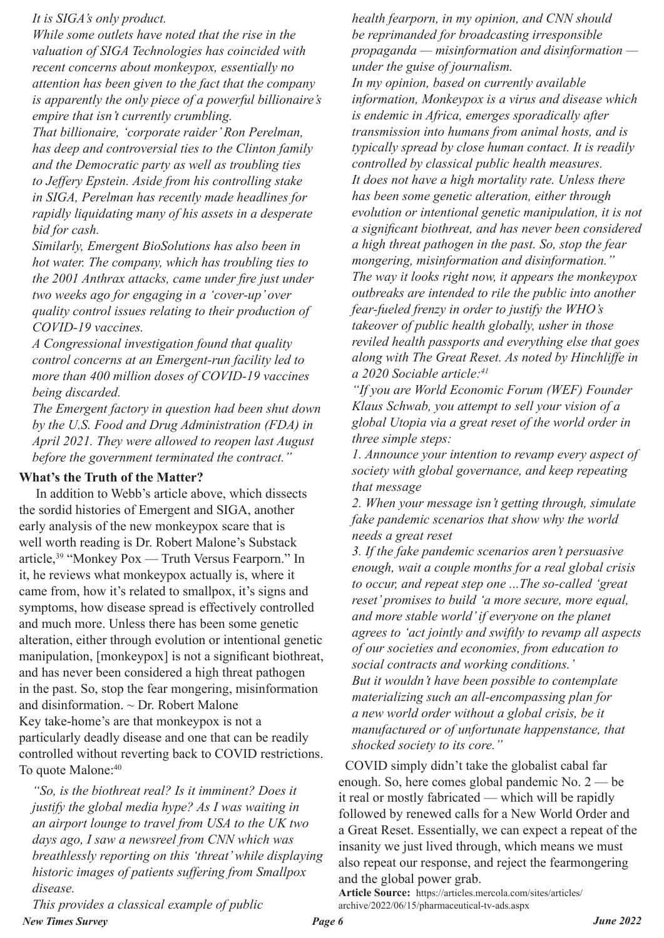#### *It is SIGA's only product.*

*While some outlets have noted that the rise in the valuation of SIGA Technologies has coincided with recent concerns about monkeypox, essentially no attention has been given to the fact that the company is apparently the only piece of a powerful billionaire's empire that isn't currently crumbling.*

*That billionaire, 'corporate raider' Ron Perelman, has deep and controversial ties to the Clinton family and the Democratic party as well as troubling ties to Jeffery Epstein. Aside from his controlling stake in SIGA, Perelman has recently made headlines for rapidly liquidating many of his assets in a desperate bid for cash.*

*Similarly, Emergent BioSolutions has also been in hot water. The company, which has troubling ties to the 2001 Anthrax attacks, came under fire just under two weeks ago for engaging in a 'cover-up' over quality control issues relating to their production of COVID-19 vaccines.*

*A Congressional investigation found that quality control concerns at an Emergent-run facility led to more than 400 million doses of COVID-19 vaccines being discarded.*

*The Emergent factory in question had been shut down by the U.S. Food and Drug Administration (FDA) in April 2021. They were allowed to reopen last August before the government terminated the contract."*

## **What's the Truth of the Matter?**

 In addition to Webb's article above, which dissects the sordid histories of Emergent and SIGA, another early analysis of the new monkeypox scare that is well worth reading is Dr. Robert Malone's Substack article,39 "Monkey Pox — Truth Versus Fearporn." In it, he reviews what monkeypox actually is, where it came from, how it's related to smallpox, it's signs and symptoms, how disease spread is effectively controlled and much more. Unless there has been some genetic alteration, either through evolution or intentional genetic manipulation, [monkeypox] is not a significant biothreat, and has never been considered a high threat pathogen in the past. So, stop the fear mongering, misinformation and disinformation.  $\sim$  Dr. Robert Malone Key take-home's are that monkeypox is not a particularly deadly disease and one that can be readily controlled without reverting back to COVID restrictions. To quote Malone: 40

*"So, is the biothreat real? Is it imminent? Does it justify the global media hype? As I was waiting in an airport lounge to travel from USA to the UK two days ago, I saw a newsreel from CNN which was breathlessly reporting on this 'threat' while displaying historic images of patients suffering from Smallpox disease.*

*health fearporn, in my opinion, and CNN should be reprimanded for broadcasting irresponsible propaganda — misinformation and disinformation under the guise of journalism.*

*In my opinion, based on currently available information, Monkeypox is a virus and disease which is endemic in Africa, emerges sporadically after transmission into humans from animal hosts, and is typically spread by close human contact. It is readily controlled by classical public health measures. It does not have a high mortality rate. Unless there has been some genetic alteration, either through evolution or intentional genetic manipulation, it is not a significant biothreat, and has never been considered a high threat pathogen in the past. So, stop the fear mongering, misinformation and disinformation." The way it looks right now, it appears the monkeypox outbreaks are intended to rile the public into another fear-fueled frenzy in order to justify the WHO's takeover of public health globally, usher in those reviled health passports and everything else that goes along with The Great Reset. As noted by Hinchliffe in a 2020 Sociable article:41*

*"If you are World Economic Forum (WEF) Founder Klaus Schwab, you attempt to sell your vision of a global Utopia via a great reset of the world order in three simple steps:*

*1. Announce your intention to revamp every aspect of society with global governance, and keep repeating that message*

*2. When your message isn't getting through, simulate fake pandemic scenarios that show why the world needs a great reset*

*3. If the fake pandemic scenarios aren't persuasive enough, wait a couple months for a real global crisis to occur, and repeat step one ...The so-called 'great reset' promises to build 'a more secure, more equal, and more stable world' if everyone on the planet agrees to 'act jointly and swiftly to revamp all aspects of our societies and economies, from education to social contracts and working conditions.' But it wouldn't have been possible to contemplate materializing such an all-encompassing plan for a new world order without a global crisis, be it manufactured or of unfortunate happenstance, that shocked society to its core."*

 COVID simply didn't take the globalist cabal far enough. So, here comes global pandemic No. 2 — be it real or mostly fabricated — which will be rapidly followed by renewed calls for a New World Order and a Great Reset. Essentially, we can expect a repeat of the insanity we just lived through, which means we must also repeat our response, and reject the fearmongering and the global power grab.

**Article Source:** https://articles.mercola.com/sites/articles/ archive/2022/06/15/pharmaceutical-tv-ads.aspx

*New Times Survey Page 6 June 2022 This provides a classical example of public*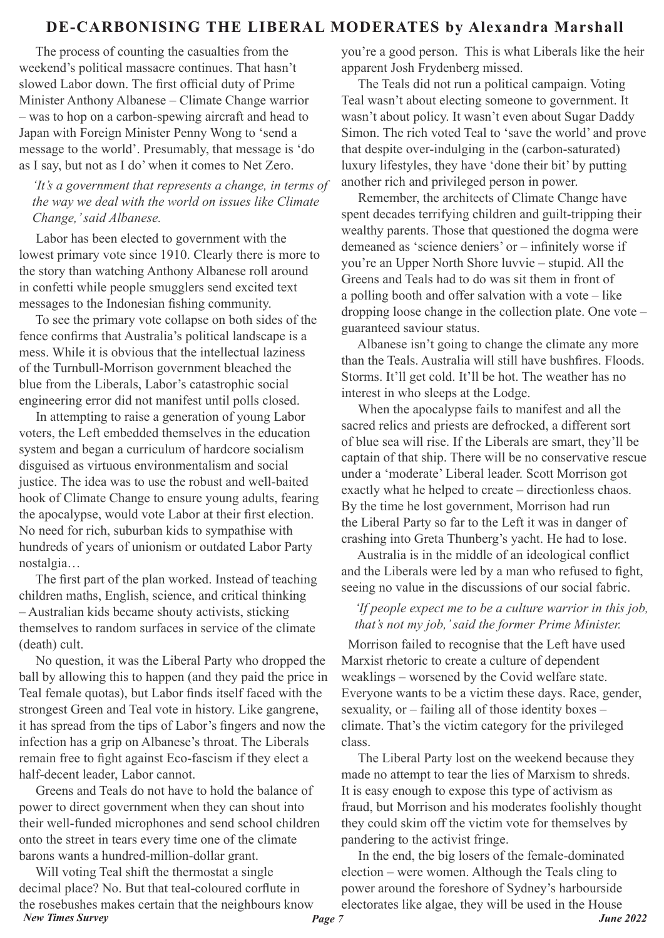## **DE-CARBONISING THE LIBERAL MODERATES by Alexandra Marshall**

 The process of counting the casualties from the weekend's political massacre continues. That hasn't slowed Labor down. The first official duty of Prime Minister Anthony Albanese – Climate Change warrior – was to hop on a carbon-spewing aircraft and head to Japan with Foreign Minister Penny Wong to 'send a message to the world'. Presumably, that message is 'do as I say, but not as I do' when it comes to Net Zero.

*'It's a government that represents a change, in terms of the way we deal with the world on issues like Climate Change,' said Albanese.*

 Labor has been elected to government with the lowest primary vote since 1910. Clearly there is more to the story than watching Anthony Albanese roll around in confetti while people smugglers send excited text messages to the Indonesian fishing community.

 To see the primary vote collapse on both sides of the fence confirms that Australia's political landscape is a mess. While it is obvious that the intellectual laziness of the Turnbull-Morrison government bleached the blue from the Liberals, Labor's catastrophic social engineering error did not manifest until polls closed.

 In attempting to raise a generation of young Labor voters, the Left embedded themselves in the education system and began a curriculum of hardcore socialism disguised as virtuous environmentalism and social justice. The idea was to use the robust and well-baited hook of Climate Change to ensure young adults, fearing the apocalypse, would vote Labor at their first election. No need for rich, suburban kids to sympathise with hundreds of years of unionism or outdated Labor Party nostalgia…

 The first part of the plan worked. Instead of teaching children maths, English, science, and critical thinking – Australian kids became shouty activists, sticking themselves to random surfaces in service of the climate (death) cult.

 No question, it was the Liberal Party who dropped the ball by allowing this to happen (and they paid the price in Teal female quotas), but Labor finds itself faced with the strongest Green and Teal vote in history. Like gangrene, it has spread from the tips of Labor's fingers and now the infection has a grip on Albanese's throat. The Liberals remain free to fight against Eco-fascism if they elect a half-decent leader, Labor cannot.

 Greens and Teals do not have to hold the balance of power to direct government when they can shout into their well-funded microphones and send school children onto the street in tears every time one of the climate barons wants a hundred-million-dollar grant.

*New Times Survey Page 7 June 2022* Will voting Teal shift the thermostat a single decimal place? No. But that teal-coloured corflute in the rosebushes makes certain that the neighbours know

you're a good person. This is what Liberals like the heir apparent Josh Frydenberg missed.

 The Teals did not run a political campaign. Voting Teal wasn't about electing someone to government. It wasn't about policy. It wasn't even about Sugar Daddy Simon. The rich voted Teal to 'save the world' and prove that despite over-indulging in the (carbon-saturated) luxury lifestyles, they have 'done their bit' by putting another rich and privileged person in power.

 Remember, the architects of Climate Change have spent decades terrifying children and guilt-tripping their wealthy parents. Those that questioned the dogma were demeaned as 'science deniers' or – infinitely worse if you're an Upper North Shore luvvie – stupid. All the Greens and Teals had to do was sit them in front of a polling booth and offer salvation with a vote – like dropping loose change in the collection plate. One vote – guaranteed saviour status.

 Albanese isn't going to change the climate any more than the Teals. Australia will still have bushfires. Floods. Storms. It'll get cold. It'll be hot. The weather has no interest in who sleeps at the Lodge.

 When the apocalypse fails to manifest and all the sacred relics and priests are defrocked, a different sort of blue sea will rise. If the Liberals are smart, they'll be captain of that ship. There will be no conservative rescue under a 'moderate' Liberal leader. Scott Morrison got exactly what he helped to create – directionless chaos. By the time he lost government, Morrison had run the Liberal Party so far to the Left it was in danger of crashing into Greta Thunberg's yacht. He had to lose.

 Australia is in the middle of an ideological conflict and the Liberals were led by a man who refused to fight, seeing no value in the discussions of our social fabric.

#### *'If people expect me to be a culture warrior in this job, that's not my job,' said the former Prime Minister.*

 Morrison failed to recognise that the Left have used Marxist rhetoric to create a culture of dependent weaklings – worsened by the Covid welfare state. Everyone wants to be a victim these days. Race, gender, sexuality, or – failing all of those identity boxes – climate. That's the victim category for the privileged class.

 The Liberal Party lost on the weekend because they made no attempt to tear the lies of Marxism to shreds. It is easy enough to expose this type of activism as fraud, but Morrison and his moderates foolishly thought they could skim off the victim vote for themselves by pandering to the activist fringe.

 In the end, the big losers of the female-dominated election – were women. Although the Teals cling to power around the foreshore of Sydney's harbourside electorates like algae, they will be used in the House